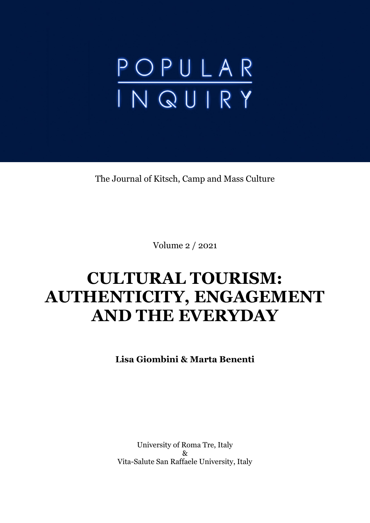# POPULAR<br>INQUIRY

The Journal of Kitsch, Camp and Mass Culture

Volume 2 / 2021

# **CULTURAL TOURISM: AUTHENTICITY, ENGAGEMENT AND THE EVERYDAY**

**Lisa Giombini & Marta Benenti**

University of Roma Tre, Italy & Vita-Salute San Raffaele University, Italy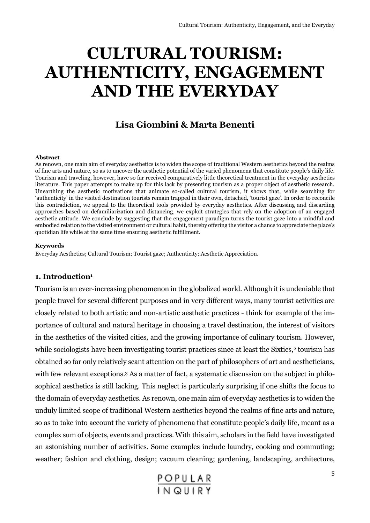# **CULTURAL TOURISM: AUTHENTICITY, ENGAGEMENT AND THE EVERYDAY**

## **Lisa Giombini & Marta Benenti**

#### **Abstract**

As renown, one main aim of everyday aesthetics is to widen the scope of traditional Western aesthetics beyond the realms of fine arts and nature, so as to uncover the aesthetic potential of the varied phenomena that constitute people's daily life. Tourism and traveling, however, have so far received comparatively little theoretical treatment in the everyday aesthetics literature. This paper attempts to make up for this lack by presenting tourism as a proper object of aesthetic research. Unearthing the aesthetic motivations that animate so-called cultural tourism, it shows that, while searching for 'authenticity' in the visited destination tourists remain trapped in their own, detached, 'tourist gaze'. In order to reconcile this contradiction, we appeal to the theoretical tools provided by everyday aesthetics. After discussing and discarding approaches based on defamiliarization and distancing, we exploit strategies that rely on the adoption of an engaged aesthetic attitude. We conclude by suggesting that the engagement paradigm turns the tourist gaze into a mindful and embodied relation to the visited environment or cultural habit, thereby offering the visitor a chance to appreciate the place's quotidian life while at the same time ensuring aesthetic fulfillment.

#### **Keywords**

Everyday Aesthetics; Cultural Tourism; Tourist gaze; Authenticity; Aesthetic Appreciation.

#### **1. Introduction<sup>1</sup>**

Tourism is an ever-increasing phenomenon in the globalized world. Although it is undeniable that people travel for several different purposes and in very different ways, many tourist activities are closely related to both artistic and non-artistic aesthetic practices - think for example of the importance of cultural and natural heritage in choosing a travel destination, the interest of visitors in the aesthetics of the visited cities, and the growing importance of culinary tourism. However, while sociologists have been investigating tourist practices since at least the Sixties,<sup>2</sup> tourism has obtained so far only relatively scant attention on the part of philosophers of art and aestheticians, with few relevant exceptions. <sup>3</sup> As a matter of fact, a systematic discussion on the subject in philosophical aesthetics is still lacking. This neglect is particularly surprising if one shifts the focus to the domain of everyday aesthetics. As renown, one main aim of everyday aesthetics is to widen the unduly limited scope of traditional Western aesthetics beyond the realms of fine arts and nature, so as to take into account the variety of phenomena that constitute people's daily life, meant as a complex sum of objects, events and practices. With this aim, scholars in the field have investigated an astonishing number of activities. Some examples include laundry, cooking and commuting; weather; fashion and clothing, design; vacuum cleaning; gardening, landscaping, architecture,

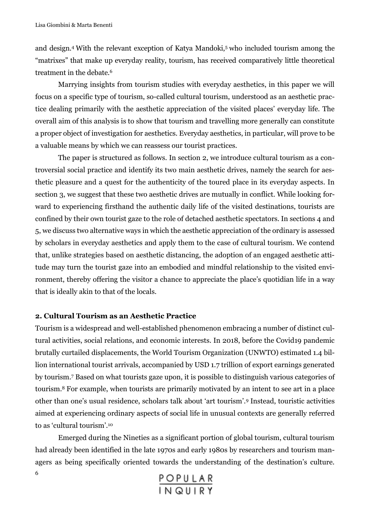and design.<sup>4</sup> With the relevant exception of Katya Mandoki,<sup>5</sup> who included tourism among the "matrixes" that make up everyday reality, tourism, has received comparatively little theoretical treatment in the debate.<sup>6</sup>

Marrying insights from tourism studies with everyday aesthetics, in this paper we will focus on a specific type of tourism, so-called cultural tourism, understood as an aesthetic practice dealing primarily with the aesthetic appreciation of the visited places' everyday life. The overall aim of this analysis is to show that tourism and travelling more generally can constitute a proper object of investigation for aesthetics. Everyday aesthetics, in particular, will prove to be a valuable means by which we can reassess our tourist practices.

The paper is structured as follows. In section 2, we introduce cultural tourism as a controversial social practice and identify its two main aesthetic drives, namely the search for aesthetic pleasure and a quest for the authenticity of the toured place in its everyday aspects. In section 3, we suggest that these two aesthetic drives are mutually in conflict. While looking forward to experiencing firsthand the authentic daily life of the visited destinations, tourists are confined by their own tourist gaze to the role of detached aesthetic spectators. In sections 4 and 5, we discuss two alternative ways in which the aesthetic appreciation of the ordinary is assessed by scholars in everyday aesthetics and apply them to the case of cultural tourism. We contend that, unlike strategies based on aesthetic distancing, the adoption of an engaged aesthetic attitude may turn the tourist gaze into an embodied and mindful relationship to the visited environment, thereby offering the visitor a chance to appreciate the place's quotidian life in a way that is ideally akin to that of the locals.

#### **2. Cultural Tourism as an Aesthetic Practice**

6

Tourism is a widespread and well-established phenomenon embracing a number of distinct cultural activities, social relations, and economic interests. In 2018, before the Covid19 pandemic brutally curtailed displacements, the World Tourism Organization (UNWTO) estimated 1.4 billion international tourist arrivals, accompanied by USD 1.7 trillion of export earnings generated by tourism.<sup>7</sup> Based on what tourists gaze upon, it is possible to distinguish various categories of tourism.<sup>8</sup> For example, when tourists are primarily motivated by an intent to see art in a place other than one's usual residence, scholars talk about 'art tourism'.<sup>9</sup> Instead, touristic activities aimed at experiencing ordinary aspects of social life in unusual contexts are generally referred to as 'cultural tourism'.<sup>10</sup>

Emerged during the Nineties as a significant portion of global tourism, cultural tourism had already been identified in the late 1970s and early 1980s by researchers and tourism managers as being specifically oriented towards the understanding of the destination's culture.

POPULAR<br>IN QUIRY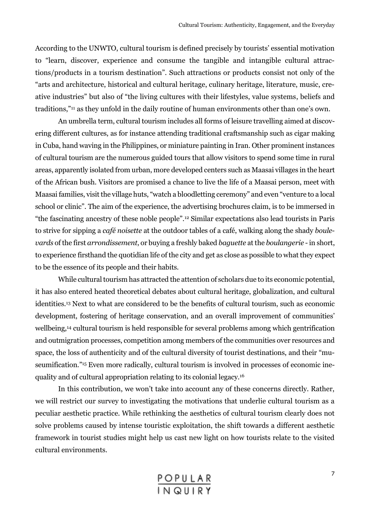According to the UNWTO, cultural tourism is defined precisely by tourists' essential motivation to "learn, discover, experience and consume the tangible and intangible cultural attractions/products in a tourism destination". Such attractions or products consist not only of the "arts and architecture, historical and cultural heritage, culinary heritage, literature, music, creative industries" but also of "the living cultures with their lifestyles, value systems, beliefs and traditions,"<sup>11</sup> as they unfold in the daily routine of human environments other than one's own.

An umbrella term, cultural tourism includes all forms of leisure travelling aimed at discovering different cultures, as for instance attending traditional craftsmanship such as cigar making in Cuba, hand waving in the Philippines, or miniature painting in Iran. Other prominent instances of cultural tourism are the numerous guided tours that allow visitors to spend some time in rural areas, apparently isolated from urban, more developed centers such as Maasai villages in the heart of the African bush. Visitors are promised a chance to live the life of a Maasai person, meet with Maasai families, visit the village huts, "watch a bloodletting ceremony" and even "venture to a local school or clinic". The aim of the experience, the advertising brochures claim, is to be immersed in "the fascinating ancestry of these noble people". <sup>12</sup> Similar expectations also lead tourists in Paris to strive for sipping a *café noisette* at the outdoor tables of a café, walking along the shady *boulevards* of the first *arrondissement*, or buying a freshly baked *baguette* at the *boulangerie* -in short, to experience firsthand the quotidian life of the city and get as close as possible to what they expect to be the essence of its people and their habits.

While cultural tourism has attracted the attention of scholars due to its economic potential, it has also entered heated theoretical debates about cultural heritage, globalization, and cultural identities.<sup>13</sup> Next to what are considered to be the benefits of cultural tourism, such as economic development, fostering of heritage conservation, and an overall improvement of communities' wellbeing,<sup>14</sup> cultural tourism is held responsible for several problems among which gentrification and outmigration processes, competition among members of the communities over resources and space, the loss of authenticity and of the cultural diversity of tourist destinations, and their "museumification." <sup>15</sup> Even more radically, cultural tourism is involved in processes of economic inequality and of cultural appropriation relating to its colonial legacy.<sup>16</sup>

In this contribution, we won't take into account any of these concerns directly. Rather, we will restrict our survey to investigating the motivations that underlie cultural tourism as a peculiar aesthetic practice. While rethinking the aesthetics of cultural tourism clearly does not solve problems caused by intense touristic exploitation, the shift towards a different aesthetic framework in tourist studies might help us cast new light on how tourists relate to the visited cultural environments.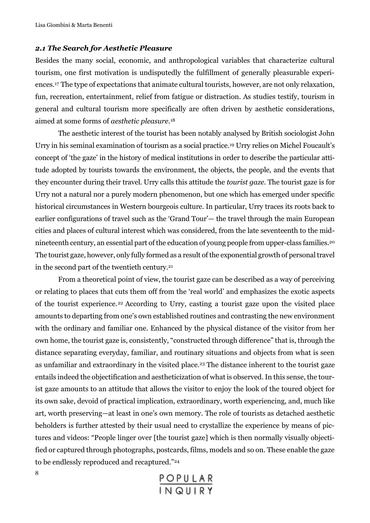#### *2.1 The Search for Aesthetic Pleasure*

Besides the many social, economic, and anthropological variables that characterize cultural tourism, one first motivation is undisputedly the fulfillment of generally pleasurable experiences.<sup>17</sup> The type of expectations that animate cultural tourists, however, are not only relaxation, fun, recreation, entertainment, relief from fatigue or distraction. As studies testify, tourism in general and cultural tourism more specifically are often driven by aesthetic considerations, aimed at some forms of *aesthetic pleasure.* 18

The aesthetic interest of the tourist has been notably analysed by British sociologist John Urry in his seminal examination of tourism as a social practice.<sup>19</sup> Urry relies on Michel Foucault's concept of 'the gaze' in the history of medical institutions in order to describe the particular attitude adopted by tourists towards the environment, the objects, the people, and the events that they encounter during their travel. Urry calls this attitude the *tourist gaze*. The tourist gaze is for Urry not a natural nor a purely modern phenomenon, but one which has emerged under specific historical circumstances in Western bourgeois culture. In particular, Urry traces its roots back to earlier configurations of travel such as the 'Grand Tour'— the travel through the main European cities and places of cultural interest which was considered, from the late seventeenth to the midnineteenth century, an essential part of the education of young people from upper-class families.<sup>20</sup> The tourist gaze, however, only fully formed as a result of the exponential growth of personal travel in the second part of the twentieth century.<sup>21</sup>

From a theoretical point of view, the tourist gaze can be described as a way of perceiving or relating to places that cuts them off from the 'real world' and emphasizes the exotic aspects of the tourist experience.22 According to Urry, casting a tourist gaze upon the visited place amounts to departing from one's own established routines and contrasting the new environment with the ordinary and familiar one. Enhanced by the physical distance of the visitor from her own home, the tourist gaze is, consistently, "constructed through difference" that is, through the distance separating everyday, familiar, and routinary situations and objects from what is seen as unfamiliar and extraordinary in the visited place.<sup>23</sup> The distance inherent to the tourist gaze entails indeed the objectification and aestheticization of what is observed. In this sense, the tourist gaze amounts to an attitude that allows the visitor to enjoy the look of the toured object for its own sake, devoid of practical implication, extraordinary, worth experiencing, and, much like art, worth preserving—at least in one's own memory. The role of tourists as detached aesthetic beholders is further attested by their usual need to crystallize the experience by means of pictures and videos: "People linger over [the tourist gaze] which is then normally visually objectified or captured through photographs, postcards, films, models and so on. These enable the gaze to be endlessly reproduced and recaptured." 24

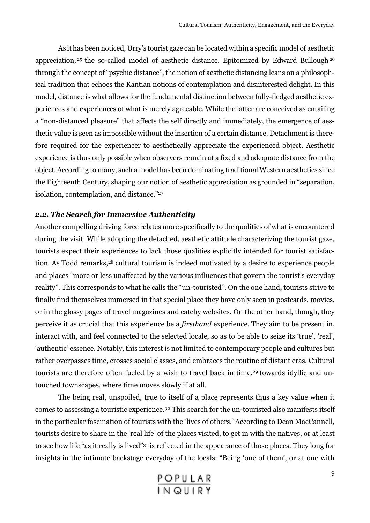As it has been noticed, Urry's tourist gaze can be located within a specific model of aesthetic appreciation, <sup>25</sup> the so-called model of aesthetic distance. Epitomized by Edward Bullough <sup>26</sup> through the concept of "psychic distance", the notion of aesthetic distancing leans on a philosophical tradition that echoes the Kantian notions of contemplation and disinterested delight. In this model, distance is what allows for the fundamental distinction between fully-fledged aesthetic experiences and experiences of what is merely agreeable. While the latter are conceived as entailing a "non-distanced pleasure" that affects the self directly and immediately, the emergence of aesthetic value is seen as impossible without the insertion of a certain distance. Detachment is therefore required for the experiencer to aesthetically appreciate the experienced object. Aesthetic experience is thus only possible when observers remain at a fixed and adequate distance from the object. According to many, such a model has been dominating traditional Western aesthetics since the Eighteenth Century, shaping our notion of aesthetic appreciation as grounded in "separation, isolation, contemplation, and distance." 27

### *2.2. The Search for Immersive Authenticity*

Another compelling driving force relates more specifically to the qualities of what is encountered during the visit. While adopting the detached, aesthetic attitude characterizing the tourist gaze, tourists expect their experiences to lack those qualities explicitly intended for tourist satisfaction. As Todd remarks,<sup>28</sup> cultural tourism is indeed motivated by a desire to experience people and places "more or less unaffected by the various influences that govern the tourist's everyday reality". This corresponds to what he calls the "un-touristed". On the one hand, tourists strive to finally find themselves immersed in that special place they have only seen in postcards, movies, or in the glossy pages of travel magazines and catchy websites. On the other hand, though, they perceive it as crucial that this experience be a *firsthand* experience. They aim to be present in, interact with, and feel connected to the selected locale, so as to be able to seize its 'true', 'real', 'authentic' essence. Notably, this interest is not limited to contemporary people and cultures but rather overpasses time, crosses social classes, and embraces the routine of distant eras. Cultural tourists are therefore often fueled by a wish to travel back in time, <sup>29</sup> towards idyllic and untouched townscapes, where time moves slowly if at all.

The being real, unspoiled, true to itself of a place represents thus a key value when it comes to assessing a touristic experience.<sup>30</sup> This search for the un-touristed also manifests itself in the particular fascination of tourists with the 'lives of others.' According to Dean MacCannell, tourists desire to share in the 'real life' of the places visited, to get in with the natives, or at least to see how life "as it really is lived"<sup>31</sup> is reflected in the appearance of those places. They long for insights in the intimate backstage everyday of the locals: "Being 'one of them', or at one with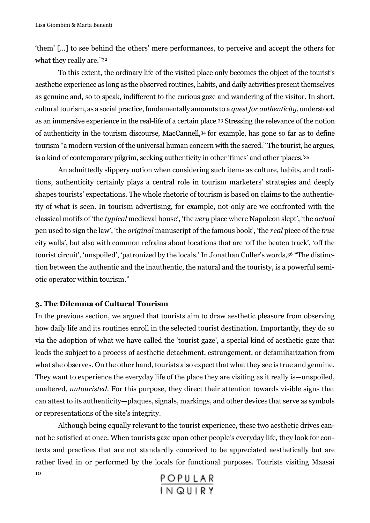'them' [...] to see behind the others' mere performances, to perceive and accept the others for what they really are." 32

To this extent, the ordinary life of the visited place only becomes the object of the tourist's aesthetic experience as long as the observed routines, habits, and daily activities present themselves as genuine and, so to speak, indifferent to the curious gaze and wandering of the visitor. In short, cultural tourism, as a social practice, fundamentally amounts to a *quest for authenticity*, understood as an immersive experience in the real-life of a certain place.<sup>33</sup> Stressing the relevance of the notion of authenticity in the tourism discourse, MacCannell,<sup>34</sup> for example, has gone so far as to define tourism "a modern version of the universal human concern with the sacred." The tourist, he argues, is a kind of contemporary pilgrim, seeking authenticity in other 'times' and other 'places.' 35

An admittedly slippery notion when considering such items as culture, habits, and traditions, authenticity certainly plays a central role in tourism marketers' strategies and deeply shapes tourists' expectations. The whole rhetoric of tourism is based on claims to the authenticity of what is seen. In tourism advertising, for example, not only are we confronted with the classical motifs of 'the *typical* medieval house', 'the *very* place where Napoleon slept', 'the *actual* pen used to sign the law', 'the *original* manuscript of the famous book', 'the *real* piece of the *true*  city walls', but also with common refrains about locations that are 'off the beaten track', 'off the tourist circuit', 'unspoiled', 'patronized by the locals.' In Jonathan Culler's words, <sup>36</sup> "The distinction between the authentic and the inauthentic, the natural and the touristy, is a powerful semiotic operator within tourism."

#### **3. The Dilemma of Cultural Tourism**

In the previous section, we argued that tourists aim to draw aesthetic pleasure from observing how daily life and its routines enroll in the selected tourist destination. Importantly, they do so via the adoption of what we have called the 'tourist gaze', a special kind of aesthetic gaze that leads the subject to a process of aesthetic detachment, estrangement, or defamiliarization from what she observes. On the other hand, tourists also expect that what they see is true and genuine. They want to experience the everyday life of the place they are visiting as it really is—unspoiled, unaltered, *untouristed*. For this purpose, they direct their attention towards visible signs that can attest to its authenticity—plaques, signals, markings, and other devices that serve as symbols or representations of the site's integrity.

10 Although being equally relevant to the tourist experience, these two aesthetic drives cannot be satisfied at once. When tourists gaze upon other people's everyday life, they look for contexts and practices that are not standardly conceived to be appreciated aesthetically but are rather lived in or performed by the locals for functional purposes. Tourists visiting Maasai

POPULAR<br>IN QUIRY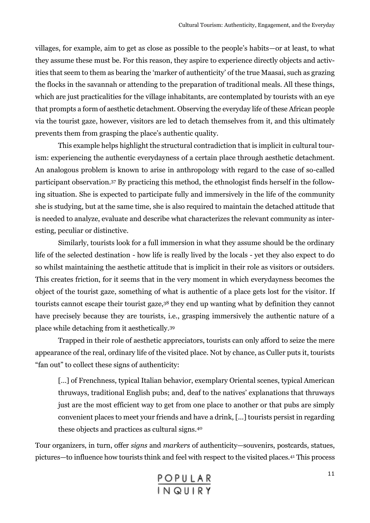villages, for example, aim to get as close as possible to the people's habits—or at least, to what they assume these must be. For this reason, they aspire to experience directly objects and activities that seem to them as bearing the 'marker of authenticity' of the true Maasai, such as grazing the flocks in the savannah or attending to the preparation of traditional meals. All these things, which are just practicalities for the village inhabitants, are contemplated by tourists with an eye that prompts a form of aesthetic detachment. Observing the everyday life of these African people via the tourist gaze, however, visitors are led to detach themselves from it, and this ultimately prevents them from grasping the place's authentic quality.

This example helps highlight the structural contradiction that is implicit in cultural tourism: experiencing the authentic everydayness of a certain place through aesthetic detachment. An analogous problem is known to arise in anthropology with regard to the case of so-called participant observation.<sup>37</sup> By practicing this method, the ethnologist finds herself in the following situation. She is expected to participate fully and immersively in the life of the community she is studying, but at the same time, she is also required to maintain the detached attitude that is needed to analyze, evaluate and describe what characterizes the relevant community as interesting, peculiar or distinctive.

Similarly, tourists look for a full immersion in what they assume should be the ordinary life of the selected destination - how life is really lived by the locals - yet they also expect to do so whilst maintaining the aesthetic attitude that is implicit in their role as visitors or outsiders. This creates friction, for it seems that in the very moment in which everydayness becomes the object of the tourist gaze, something of what is authentic of a place gets lost for the visitor. If tourists cannot escape their tourist gaze,<sup>38</sup> they end up wanting what by definition they cannot have precisely because they are tourists, i.e., grasping immersively the authentic nature of a place while detaching from it aesthetically.<sup>39</sup>

Trapped in their role of aesthetic appreciators, tourists can only afford to seize the mere appearance of the real, ordinary life of the visited place. Not by chance, as Culler puts it, tourists "fan out" to collect these signs of authenticity:

[...] of Frenchness, typical Italian behavior, exemplary Oriental scenes, typical American thruways, traditional English pubs; and, deaf to the natives' explanations that thruways just are the most efficient way to get from one place to another or that pubs are simply convenient places to meet your friends and have a drink, [...] tourists persist in regarding these objects and practices as cultural signs.<sup>40</sup>

Tour organizers, in turn, offer *signs* and *markers* of authenticity—souvenirs, postcards, statues, pictures—to influence how tourists think and feel with respect to the visited places.<sup>41</sup> This process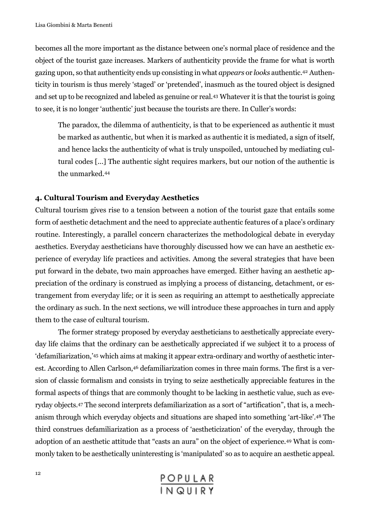becomes all the more important as the distance between one's normal place of residence and the object of the tourist gaze increases. Markers of authenticity provide the frame for what is worth gazing upon, so that authenticity ends up consisting in what *appears* or *looks* authentic.<sup>42</sup> Authenticity in tourism is thus merely 'staged' or 'pretended', inasmuch as the toured object is designed and set up to be recognized and labeled as genuine or real.<sup>43</sup> Whatever it is that the tourist is going to see, it is no longer 'authentic' just because the tourists are there. In Culler's words:

The paradox, the dilemma of authenticity, is that to be experienced as authentic it must be marked as authentic, but when it is marked as authentic it is mediated, a sign of itself, and hence lacks the authenticity of what is truly unspoiled, untouched by mediating cultural codes [...] The authentic sight requires markers, but our notion of the authentic is the unmarked.<sup>44</sup>

#### **4. Cultural Tourism and Everyday Aesthetics**

Cultural tourism gives rise to a tension between a notion of the tourist gaze that entails some form of aesthetic detachment and the need to appreciate authentic features of a place's ordinary routine. Interestingly, a parallel concern characterizes the methodological debate in everyday aesthetics. Everyday aestheticians have thoroughly discussed how we can have an aesthetic experience of everyday life practices and activities. Among the several strategies that have been put forward in the debate, two main approaches have emerged. Either having an aesthetic appreciation of the ordinary is construed as implying a process of distancing, detachment, or estrangement from everyday life; or it is seen as requiring an attempt to aesthetically appreciate the ordinary as such. In the next sections, we will introduce these approaches in turn and apply them to the case of cultural tourism.

The former strategy proposed by everyday aestheticians to aesthetically appreciate everyday life claims that the ordinary can be aesthetically appreciated if we subject it to a process of 'defamiliarization,' <sup>45</sup> which aims at making it appear extra-ordinary and worthy of aesthetic interest. According to Allen Carlson,<sup>46</sup> defamiliarization comes in three main forms. The first is a version of classic formalism and consists in trying to seize aesthetically appreciable features in the formal aspects of things that are commonly thought to be lacking in aesthetic value, such as everyday objects.<sup>47</sup> The second interprets defamiliarization as a sort of "artification", that is, a mechanism through which everyday objects and situations are shaped into something 'art-like'.<sup>48</sup> The third construes defamiliarization as a process of 'aestheticization' of the everyday, through the adoption of an aesthetic attitude that "casts an aura" on the object of experience.<sup>49</sup> What is commonly taken to be aesthetically uninteresting is 'manipulated' so as to acquire an aesthetic appeal.

| POPULAR |  |  |  |
|---------|--|--|--|
| INQUIRY |  |  |  |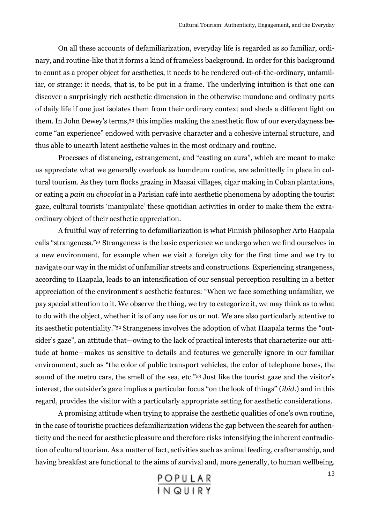On all these accounts of defamiliarization, everyday life is regarded as so familiar, ordinary, and routine-like that it forms a kind of frameless background. In order for this background to count as a proper object for aesthetics, it needs to be rendered out-of-the-ordinary, unfamiliar, or strange: it needs, that is, to be put in a frame. The underlying intuition is that one can discover a surprisingly rich aesthetic dimension in the otherwise mundane and ordinary parts of daily life if one just isolates them from their ordinary context and sheds a different light on them. In John Dewey's terms,<sup>50</sup> this implies making the anesthetic flow of our everydayness become "an experience" endowed with pervasive character and a cohesive internal structure, and thus able to unearth latent aesthetic values in the most ordinary and routine.

Processes of distancing, estrangement, and "casting an aura", which are meant to make us appreciate what we generally overlook as humdrum routine, are admittedly in place in cultural tourism. As they turn flocks grazing in Maasai villages, cigar making in Cuban plantations, or eating a *pain au chocolat* in a Parisian café into aesthetic phenomena by adopting the tourist gaze, cultural tourists 'manipulate' these quotidian activities in order to make them the extraordinary object of their aesthetic appreciation.

A fruitful way of referring to defamiliarization is what Finnish philosopher Arto Haapala calls "strangeness."<sup>51</sup> Strangeness is the basic experience we undergo when we find ourselves in a new environment, for example when we visit a foreign city for the first time and we try to navigate our way in the midst of unfamiliar streets and constructions. Experiencing strangeness, according to Haapala, leads to an intensification of our sensual perception resulting in a better appreciation of the environment's aesthetic features: "When we face something unfamiliar, we pay special attention to it. We observe the thing, we try to categorize it, we may think as to what to do with the object, whether it is of any use for us or not. We are also particularly attentive to its aesthetic potentiality." <sup>52</sup> Strangeness involves the adoption of what Haapala terms the "outsider's gaze", an attitude that—owing to the lack of practical interests that characterize our attitude at home—makes us sensitive to details and features we generally ignore in our familiar environment, such as "the color of public transport vehicles, the color of telephone boxes, the sound of the metro cars, the smell of the sea, etc."<sup>53</sup> Just like the tourist gaze and the visitor's interest, the outsider's gaze implies a particular focus "on the look of things" (*ibid*.) and in this regard, provides the visitor with a particularly appropriate setting for aesthetic considerations.

A promising attitude when trying to appraise the aesthetic qualities of one's own routine, in the case of touristic practices defamiliarization widens the gap between the search for authenticity and the need for aesthetic pleasure and therefore risks intensifying the inherent contradiction of cultural tourism. As a matter of fact, activities such as animal feeding, craftsmanship, and having breakfast are functional to the aims of survival and, more generally, to human wellbeing.

POPULAR<br>IN QUIRY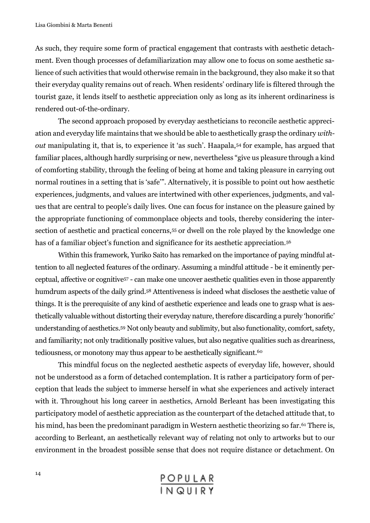As such, they require some form of practical engagement that contrasts with aesthetic detachment. Even though processes of defamiliarization may allow one to focus on some aesthetic salience of such activities that would otherwise remain in the background, they also make it so that their everyday quality remains out of reach. When residents' ordinary life is filtered through the tourist gaze, it lends itself to aesthetic appreciation only as long as its inherent ordinariness is rendered out-of-the-ordinary.

The second approach proposed by everyday aestheticians to reconcile aesthetic appreciation and everyday life maintains that we should be able to aesthetically grasp the ordinary *without* manipulating it, that is, to experience it 'as such'. Haapala,<sup>54</sup> for example, has argued that familiar places, although hardly surprising or new, nevertheless "give us pleasure through a kind of comforting stability, through the feeling of being at home and taking pleasure in carrying out normal routines in a setting that is 'safe'". Alternatively, it is possible to point out how aesthetic experiences, judgments, and values are intertwined with other experiences, judgments, and values that are central to people's daily lives. One can focus for instance on the pleasure gained by the appropriate functioning of commonplace objects and tools, thereby considering the intersection of aesthetic and practical concerns,<sup>55</sup> or dwell on the role played by the knowledge one has of a familiar object's function and significance for its aesthetic appreciation.<sup>56</sup>

Within this framework, Yuriko Saito has remarked on the importance of paying mindful attention to all neglected features of the ordinary. Assuming a mindful attitude - be it eminently perceptual, affective or cognitive<sup>57</sup> - can make one uncover aesthetic qualities even in those apparently humdrum aspects of the daily grind.<sup>58</sup> Attentiveness is indeed what discloses the aesthetic value of things. It is the prerequisite of any kind of aesthetic experience and leads one to grasp what is aesthetically valuable without distorting their everyday nature, therefore discarding a purely 'honorific' understanding of aesthetics.<sup>59</sup> Not only beauty and sublimity, but also functionality, comfort, safety, and familiarity; not only traditionally positive values, but also negative qualities such as dreariness, tediousness, or monotony may thus appear to be aesthetically significant.<sup>60</sup>

This mindful focus on the neglected aesthetic aspects of everyday life, however, should not be understood as a form of detached contemplation. It is rather a participatory form of perception that leads the subject to immerse herself in what she experiences and actively interact with it. Throughout his long career in aesthetics, Arnold Berleant has been investigating this participatory model of aesthetic appreciation as the counterpart of the detached attitude that, to his mind, has been the predominant paradigm in Western aesthetic theorizing so far.<sup>61</sup> There is, according to Berleant, an aesthetically relevant way of relating not only to artworks but to our environment in the broadest possible sense that does not require distance or detachment. On

| POPULAR |  |  |  |
|---------|--|--|--|
| INQUIRY |  |  |  |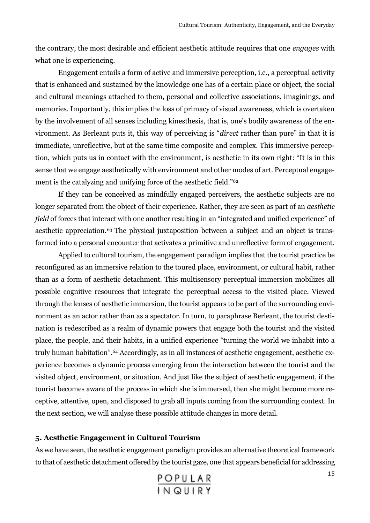the contrary, the most desirable and efficient aesthetic attitude requires that one *engages* with what one is experiencing.

Engagement entails a form of active and immersive perception, i.e., a perceptual activity that is enhanced and sustained by the knowledge one has of a certain place or object, the social and cultural meanings attached to them, personal and collective associations, imaginings, and memories. Importantly, this implies the loss of primacy of visual awareness, which is overtaken by the involvement of all senses including kinesthesis, that is, one's bodily awareness of the environment. As Berleant puts it, this way of perceiving is "*direct* rather than pure" in that it is immediate, unreflective, but at the same time composite and complex. This immersive perception, which puts us in contact with the environment, is aesthetic in its own right: "It is in this sense that we engage aesthetically with environment and other modes of art. Perceptual engagement is the catalyzing and unifying force of the aesthetic field."<sup>62</sup>

If they can be conceived as mindfully engaged perceivers, the aesthetic subjects are no longer separated from the object of their experience. Rather, they are seen as part of an *aesthetic field* of forces that interact with one another resulting in an "integrated and unified experience" of aesthetic appreciation.<sup>63</sup> The physical juxtaposition between a subject and an object is transformed into a personal encounter that activates a primitive and unreflective form of engagement.

Applied to cultural tourism, the engagement paradigm implies that the tourist practice be reconfigured as an immersive relation to the toured place, environment, or cultural habit, rather than as a form of aesthetic detachment. This multisensory perceptual immersion mobilizes all possible cognitive resources that integrate the perceptual access to the visited place. Viewed through the lenses of aesthetic immersion, the tourist appears to be part of the surrounding environment as an actor rather than as a spectator. In turn, to paraphrase Berleant, the tourist destination is redescribed as a realm of dynamic powers that engage both the tourist and the visited place, the people, and their habits, in a unified experience "turning the world we inhabit into a truly human habitation". <sup>64</sup> Accordingly, as in all instances of aesthetic engagement, aesthetic experience becomes a dynamic process emerging from the interaction between the tourist and the visited object, environment, or situation. And just like the subject of aesthetic engagement, if the tourist becomes aware of the process in which she is immersed, then she might become more receptive, attentive, open, and disposed to grab all inputs coming from the surrounding context. In the next section, we will analyse these possible attitude changes in more detail.

#### **5. Aesthetic Engagement in Cultural Tourism**

As we have seen, the aesthetic engagement paradigm provides an alternative theoretical framework to that of aesthetic detachment offered by the tourist gaze, one that appears beneficial for addressing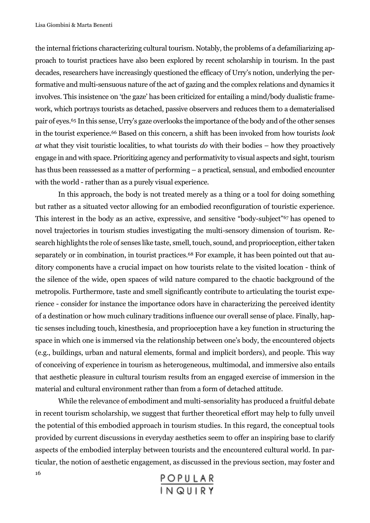the internal frictions characterizing cultural tourism. Notably, the problems of a defamiliarizing approach to tourist practices have also been explored by recent scholarship in tourism. In the past decades, researchers have increasingly questioned the efficacy of Urry's notion, underlying the performative and multi-sensuous nature of the act of gazing and the complex relations and dynamics it involves. This insistence on 'the gaze' has been criticized for entailing a mind/body dualistic framework, which portrays tourists as detached, passive observers and reduces them to a dematerialised pair of eyes.<sup>65</sup> In this sense, Urry's gaze overlooks the importance of the body and of the other senses in the tourist experience.<sup>66</sup> Based on this concern, a shift has been invoked from how tourists *look at* what they visit touristic localities, to what tourists *do* with their bodies – how they proactively engage in and with space. Prioritizing agency and performativity to visual aspects and sight, tourism has thus been reassessed as a matter of performing – a practical, sensual, and embodied encounter with the world - rather than as a purely visual experience.

In this approach, the body is not treated merely as a thing or a tool for doing something but rather as a situated vector allowing for an embodied reconfiguration of touristic experience. This interest in the body as an active, expressive, and sensitive "body-subject"<sup>67</sup> has opened to novel trajectories in tourism studies investigating the multi-sensory dimension of tourism. Research highlights the role of senses like taste, smell, touch, sound, and proprioception, either taken separately or in combination, in tourist practices.<sup>68</sup> For example, it has been pointed out that auditory components have a crucial impact on how tourists relate to the visited location - think of the silence of the wide, open spaces of wild nature compared to the chaotic background of the metropolis. Furthermore, taste and smell significantly contribute to articulating the tourist experience - consider for instance the importance odors have in characterizing the perceived identity of a destination or how much culinary traditions influence our overall sense of place. Finally, haptic senses including touch, kinesthesia, and proprioception have a key function in structuring the space in which one is immersed via the relationship between one's body, the encountered objects (e.g., buildings, urban and natural elements, formal and implicit borders), and people. This way of conceiving of experience in tourism as heterogeneous, multimodal, and immersive also entails that aesthetic pleasure in cultural tourism results from an engaged exercise of immersion in the material and cultural environment rather than from a form of detached attitude.

16 While the relevance of embodiment and multi-sensoriality has produced a fruitful debate in recent tourism scholarship, we suggest that further theoretical effort may help to fully unveil the potential of this embodied approach in tourism studies. In this regard, the conceptual tools provided by current discussions in everyday aesthetics seem to offer an inspiring base to clarify aspects of the embodied interplay between tourists and the encountered cultural world. In particular, the notion of aesthetic engagement, as discussed in the previous section, may foster and

```
POPULAR<br>IN QUIRY
```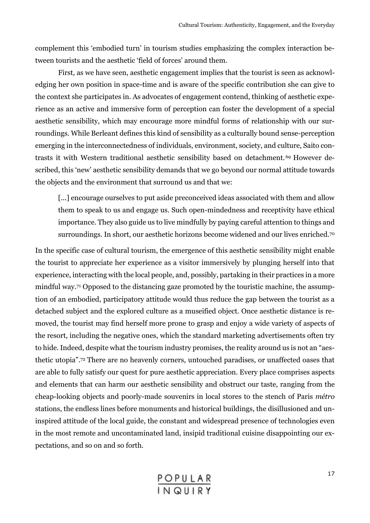complement this 'embodied turn' in tourism studies emphasizing the complex interaction between tourists and the aesthetic 'field of forces' around them.

First, as we have seen, aesthetic engagement implies that the tourist is seen as acknowledging her own position in space-time and is aware of the specific contribution she can give to the context she participates in. As advocates of engagement contend, thinking of aesthetic experience as an active and immersive form of perception can foster the development of a special aesthetic sensibility, which may encourage more mindful forms of relationship with our surroundings. While Berleant defines this kind of sensibility as a culturally bound sense-perception emerging in the interconnectedness of individuals, environment, society, and culture, Saito contrasts it with Western traditional aesthetic sensibility based on detachment.<sup>69</sup> However described, this 'new' aesthetic sensibility demands that we go beyond our normal attitude towards the objects and the environment that surround us and that we:

[...] encourage ourselves to put aside preconceived ideas associated with them and allow them to speak to us and engage us. Such open-mindedness and receptivity have ethical importance. They also guide us to live mindfully by paying careful attention to things and surroundings. In short, our aesthetic horizons become widened and our lives enriched.<sup>70</sup>

In the specific case of cultural tourism, the emergence of this aesthetic sensibility might enable the tourist to appreciate her experience as a visitor immersively by plunging herself into that experience, interacting with the local people, and, possibly, partaking in their practices in a more mindful way.<sup>71</sup> Opposed to the distancing gaze promoted by the touristic machine, the assumption of an embodied, participatory attitude would thus reduce the gap between the tourist as a detached subject and the explored culture as a museified object. Once aesthetic distance is removed, the tourist may find herself more prone to grasp and enjoy a wide variety of aspects of the resort, including the negative ones, which the standard marketing advertisements often try to hide. Indeed, despite what the tourism industry promises, the reality around us is not an "aesthetic utopia".<sup>72</sup> There are no heavenly corners, untouched paradises, or unaffected oases that are able to fully satisfy our quest for pure aesthetic appreciation. Every place comprises aspects and elements that can harm our aesthetic sensibility and obstruct our taste, ranging from the cheap-looking objects and poorly-made souvenirs in local stores to the stench of Paris *métro*  stations, the endless lines before monuments and historical buildings, the disillusioned and uninspired attitude of the local guide, the constant and widespread presence of technologies even in the most remote and uncontaminated land, insipid traditional cuisine disappointing our expectations, and so on and so forth.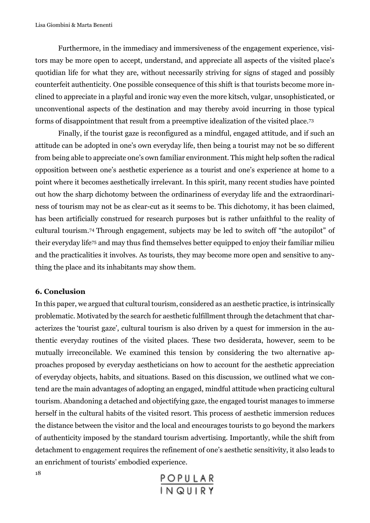Furthermore, in the immediacy and immersiveness of the engagement experience, visitors may be more open to accept, understand, and appreciate all aspects of the visited place's quotidian life for what they are, without necessarily striving for signs of staged and possibly counterfeit authenticity. One possible consequence of this shift is that tourists become more inclined to appreciate in a playful and ironic way even the more kitsch, vulgar, unsophisticated, or unconventional aspects of the destination and may thereby avoid incurring in those typical forms of disappointment that result from a preemptive idealization of the visited place.<sup>73</sup>

Finally, if the tourist gaze is reconfigured as a mindful, engaged attitude, and if such an attitude can be adopted in one's own everyday life, then being a tourist may not be so different from being able to appreciate one's own familiar environment. This might help soften the radical opposition between one's aesthetic experience as a tourist and one's experience at home to a point where it becomes aesthetically irrelevant. In this spirit, many recent studies have pointed out how the sharp dichotomy between the ordinariness of everyday life and the extraordinariness of tourism may not be as clear-cut as it seems to be. This dichotomy, it has been claimed, has been artificially construed for research purposes but is rather unfaithful to the reality of cultural tourism.74 Through engagement, subjects may be led to switch off "the autopilot" of their everyday life<sup>75</sup> and may thus find themselves better equipped to enjoy their familiar milieu and the practicalities it involves. As tourists, they may become more open and sensitive to anything the place and its inhabitants may show them.

#### **6. Conclusion**

In this paper, we argued that cultural tourism, considered as an aesthetic practice, is intrinsically problematic. Motivated by the search for aesthetic fulfillment through the detachment that characterizes the 'tourist gaze', cultural tourism is also driven by a quest for immersion in the authentic everyday routines of the visited places. These two desiderata, however, seem to be mutually irreconcilable. We examined this tension by considering the two alternative approaches proposed by everyday aestheticians on how to account for the aesthetic appreciation of everyday objects, habits, and situations. Based on this discussion, we outlined what we contend are the main advantages of adopting an engaged, mindful attitude when practicing cultural tourism. Abandoning a detached and objectifying gaze, the engaged tourist manages to immerse herself in the cultural habits of the visited resort. This process of aesthetic immersion reduces the distance between the visitor and the local and encourages tourists to go beyond the markers of authenticity imposed by the standard tourism advertising. Importantly, while the shift from detachment to engagement requires the refinement of one's aesthetic sensitivity, it also leads to an enrichment of tourists' embodied experience.

POPULAR<br>INQUIRY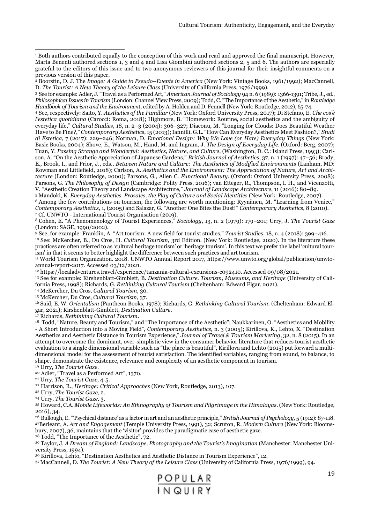<sup>3</sup> See for example: Adler, J. "Travel as a Performed Art," *American Journal of Sociology* 94 n. 6 (1989): 1366-1391; Tribe, J., ed., *Philosophical Issues in Tourism* (London: Channel View Press, 2009); Todd, C. "The Importance of the Aesthetic," in *Routledge Handbook of Tourism and the Environmen*t, edited by A. Holden and D. Fennell (New York: Routledge, 2012), 65-74.

<sup>4</sup> See, respectively: Saito, Y. *Aesthetics of the Familiar* (New York: Oxford University Press, 2017); Di Stefano, E. *Che cos'è l'estetica quotidiana* (Carocci: Roma, 2018); Highmore, B. "Homework: Routine, social aesthetics and the ambiguity of everyday life," *Cultural Studies*, 18, n. 2–3 (2004): 306–327; Diaconu, M. "Longing for Clouds: Does Beautiful Weather Have to Be Fine?," *Contemporary Aesthetics*, 15 (2013); Iannilli, G.L. "How Can Everyday Aesthetics Meet Fashion?," *Studi di Estetica*, 7 (2017): 229–246; Norman, D. *Emotional Design: Why We Love (or Hate) Everyday Things* (New York: Basic Books, 2004); Shove, E., Watson, M., Hand, M. and Ingram, J. *The Design of Everyday Life*. (Oxford: Berg, 2007); Tuan, Y. *Passing Strange and Wonderful: Aesthetics, Nature, and Culture*, (Washington, D. C.: Island Press, 1993); Carlson, A. "On the Aesthetic Appreciation of Japanese Gardens," *British Journal of Aesthetics*, 37, n. 1 (1997): 47–56; Brady, E., Brook, I., and Prior, J., eds., *Between Nature and Culture: The Aesthetics of Modified Environments* (Lanham, MD: Rowman and Littlefield, 2018); Carlson, A. *Aesthetics and the Environment: The Appreciation of Nature, Art and Architecture* (London: Routledge, 2000); Parsons, G., Allen C. *Functional Beauty*. (Oxford: Oxford University Press, 2008); Parsons, G. *The Philosophy of Design* (Cambridge: Polity Press, 2016); van Etteger, R., Thompson, I. H., and Vicenzotti, V. "Aesthetic Creation Theory and Landscape Architecture," *Journal of Landscape Architecture*, 11 (2016): 80–89.

 Mandoki, K. *Everyday Aesthetics. Prosaics, the Play of Culture and Social Identities* (New York: Routledge, 2007). Among the few contributions on tourism, the following are worth mentioning: Ryynänen, M. "Learning from Venice," *Contemporary Aesthetics,* 1, (2005) and Salazar, G. "Another One Bites the Dust!" *Contemporary Aesthetics*, 8 (2010). Cf. UNWTO - International Tourist Organisation (2019).

<sup>8</sup> Cohen, E. "A Phenomenology of Tourist Experiences," *Sociology*, 13, n. 2 (1979): 179–201; Urry, J. *The Tourist Gaze*  (London: SAGE, 1990/2002).

<sup>9</sup> See, for example: Franklin, A. "Art tourism: A new field for tourist studies," *Tourist Studies*, 18, n. 4 (2018): 399–416. <sup>10</sup> See: McKercher, B., Du Cros, H. *Cultural Tourism*, 3rd Edition. (New York: Routledge, 2020). In the literature these practices are often referred to as 'cultural heritage tourism' or 'heritage tourism'. In this text we prefer the label 'cultural tourism' in that it seems to better highlight the difference between such practices and art tourism.

<sup>11</sup> World Tourism Organization. 2018. UNWTO Annual Report 2017, https://www.unwto.org/global/publication/unwtoannual-report-2017. Accessed 03/12/2021.

<sup>12</sup> https://localadventures.travel/experience/tanzania-cultural-excursions-c092410. Accessed 09/08/2021.

<sup>13</sup> See for example: Kirshenblatt-Gimblett, B. *Destination Culture. Tourism, Museums, and Heritage* (University of California Press, 1998); Richards, G. *Rethinking Cultural Tourism* (Cheltenham: Edward Elgar, 2021).

<sup>14</sup> McKercher, Du Cros, *Cultural Tourism*, 30.

<sup>15</sup> McKercher, Du Cros, *Cultural Tourism*, 37.

<sup>16</sup> Said, E. W. *Orientalism* (Pantheon Books, 1978); Richards, G. *Rethinking Cultural Tourism*. (Cheltenham: Edward Elgar, 2021); Kirshenblatt-Gimblett, *Destination Culture*.

<sup>17</sup> Richards, *Rethinking Cultural Tourism*.

<sup>18</sup> Todd, "Nature, Beauty and Tourism," and "The Importance of the Aesthetic"; Naukkarinen, O. "Aesthetics and Mobility - A Short Introduction into a Moving Field", *Contemporary Aesthetics,* n. 3 (2005); Kirillova, K., Lehto, X. "Destination Aesthetics and Aesthetic Distance in Tourism Experience," *Journal of Travel & Tourism Marketing*, 32, n. 8 (2015). In an attempt to overcome the dominant, over-simplistic view in the consumer behavior literature that reduces tourist aesthetic evaluation to a single dimensional variable such as "the place is beautiful", Kirillova and Lehto (2015) put forward a multidimensional model for the assessment of tourist satisfaction. The identified variables, ranging from sound, to balance, to shape, demonstrate the existence, relevance and complexity of an aesthetic component in tourism.

<sup>19</sup> Urry, *The Tourist Gaze*.

<sup>20</sup> Adler, "Travel as a Performed Art", 1370.

<sup>21</sup> Urry, *The Tourist Gaze*, 4-5.

<sup>22</sup> Harrison, R., *Heritage: Critical Approaches* (New York, Routledge, 2013), 107.

<sup>23</sup> Urry, *The Tourist Gaze*, 2.

<sup>24</sup> Urry, *The Tourist Gaze,* 3.

<sup>25</sup> Howard, C.A. *Mobile Lifeworlds: An Ethnography of Tourism and Pilgrimage in the Himalayas*. (New York: Routledge, 2016), 34.

<sup>26</sup> Bullough, E. "'Psychical distance' as a factor in art and an aesthetic principle," *British Journal of Psychology,* 5 (1912): 87-118. <sup>27</sup>Berleant, A. *Art and Engagement* (Temple University Press, 1991), 32; Scruton, R. *Modern Culture* (New York: Bloomsbury, 2007), 36, maintains that the 'visitor' provides the paradigmatic case of aesthetic gaze.

<sup>28</sup> Todd, "The Importance of the Aesthetic", 72.

<sup>29</sup> Taylor, J. *A Dream of England: Landscape, Photography and the Tourist's Imagination* (Manchester: Manchester University Press, 1994).

<sup>30</sup> Kirillova, Lehto, "Destination Aesthetics and Aesthetic Distance in Tourism Experience", 12.

<sup>31</sup> MacCannell, D. *The Tourist: A New Theory of the Leisure Class* (University of California Press, 1976/1999), 94.



<sup>1</sup> Both authors contributed equally to the conception of this work and read and approved the final manuscript. However, Marta Benenti authored sections 1, 3 and 4 and Lisa Giombini authored sections 2, 5 and 6. The authors are especially grateful to the editors of this issue and to two anonymous reviewers of this journal for their insightful comments on a previous version of this paper.

<sup>2</sup> Boorstin, D. J. The *Image: A Guide to Pseudo–Events in America* (New York: Vintage Books, 1961/1992); MacCannell, D. *The Tourist: A New Theory of the Leisure Class* (University of California Press, 1976/1999).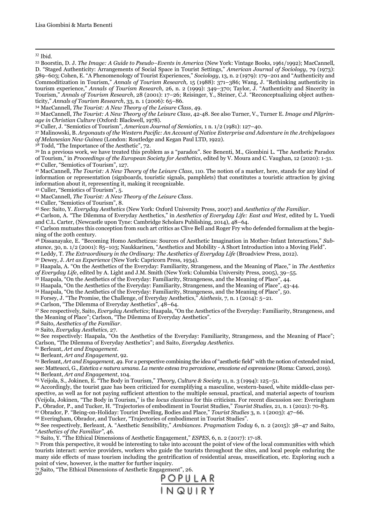Ibid.

 Boorstin, D. J. *The Image: A Guide to Pseudo–Events in America* (New York: Vintage Books, 1961/1992); MacCannell, D. "Staged Authenticity: Arrangements of Social Space in Tourist Settings," *American Journal of Sociology*, 79 (1973): –603; Cohen, E. "A Phenomenology of Tourist Experiences," *Sociology*, 13, n. 2 (1979): 179–201 and "Authenticity and Commoditization in Tourism," *Annals of Tourism Research,* 15 (1988): 371–386; Wang, J. "Rethinking authenticity in tourism experience," *Annals of Tourism Research*, 26, n. 2 (1999): 349–370; Taylor, J. "Authenticity and Sincerity in Tourism," *Annals of Tourism Research*, 28 (2001): 17–26; Reisinger, Y., Steiner, C.J. "Reconceptualizing object authenticity," *Annals of Tourism Research*, 33, n. 1 (2006): 65–86.

MacCannell, *The Tourist: A New Theory of the Leisure Class*, 49.

 MacCannell, *The Tourist: A New Theory of the Leisure Class*, 42-48. See also Turner, V., Turner E. *Image and Pilgrimage in Christian Culture* (Oxford: Blackwell, 1978).

Culler, J. "Semiotics of Tourism", *American Journal of Semiotics,* 1 n. 1/2 (1981): 127–40.

 Malinowski, B. *Argonauts of the Western Pacific: An Account of Native Enterprise and Adventure in the Archipelagoes of Melanesian New Guinea* (London: Routledge and Kegan Paul LTD, 1922).

Todd, "The Importance of the Aesthetic", 72.

 In a previous work, we have treated this problem as a "paradox". See Benenti, M., Giombini L. "The Aesthetic Paradox of Tourism," in *Proceedings of the European Society for Aesthetics*, edited by V. Moura and C. Vaughan, 12 (2020): 1-31. Culler, "Semiotics of Tourism", 127.

 MacCannell, *The Tourist: A New Theory of the Leisure Class*, 110. The notion of a marker, here, stands for any kind of information or representation (signboards, touristic signals, pamphlets) that constitutes a touristic attraction by giving information about it, representing it, making it recognizable.

Culler, "Semiotics of Tourism", 5.

MacCannell, *The Tourist: A New Theory of the Leisure Class*.

Culler, "Semiotics of Tourism", 8.

See: Saito, Y. *Everyday Aesthetics* (New York: Oxford University Press, 2007) and *Aesthetics of the Familiar*.

 Carlson, A. "The Dilemma of Everyday Aesthetics," in *Aesthetics of Everyday Life: East and West*, edited by L. Yuedi and C.L. Carter, (Newcastle upon Tyne: Cambridge Scholars Publishing, 2014), 48–64.

 Carlson mutuates this conception from such art critics as Clive Bell and Roger Fry who defended formalism at the beginning of the 20th century.

 Dissanayake, E. "Becoming Homo Aestheticus: Sources of Aesthetic Imagination in Mother-Infant Interactions," *Substance*, 30, n. 1/2 (2001): 85–103; Naukkarinen, "Aesthetics and Mobility - A Short Introduction into a Moving Field".

Leddy, T. *The Extraordinary in the Ordinary: The Aesthetics of Everyday Life* (Broadview Press, 2012).

Dewey, J. *Art as Experience* (New York: Capricorn Press, 1934).

 Haapala, A. "On the Aesthetics of the Everyday: Familiarity, Strangeness, and the Meaning of Place," in *The Aesthetics of Everyday Life*, edited by A. Light and J.M. Smith (New York: Columbia University Press, 2005), 39–55.

Haapala, "On the Aesthetics of the Everyday: Familiarity, Strangeness, and the Meaning of Place", 44.

Haapala, "On the Aesthetics of the Everyday: Familiarity, Strangeness, and the Meaning of Place", 43-44.

Haapala, "On the Aesthetics of the Everyday: Familiarity, Strangeness, and the Meaning of Place", 50.

Forsey, J. "The Promise, the Challenge, of Everyday Aesthetics," *Aisthesis*, 7, n. 1 (2014): 5–21.

Carlson, "The Dilemma of Everyday Aesthetics", 48–64.

 See respectively, Saito, *Everyday Aesthetics*; Haapala, "On the Aesthetics of the Everyday: Familiarity, Strangeness, and the Meaning of Place"; Carlson, "The Dilemma of Everyday Aesthetics".

Saito, *Aesthetics of the Familiar*.

Saito, *Everyday Aesthetics,* 27.

 See respectively: Haapala, "On the Aesthetics of the Everyday: Familiarity, Strangeness, and the Meaning of Place"; Carlson, "The Dilemma of Everyday Aesthetics"; and Saito, *Everyday Aesthetics*.

Berleant, *Art and Engagement*.

Berleant, *Art and Engagement*, 92.

 Berleant, *Art and Engagement*, 49. For a perspective combining the idea of "aesthetic field" with the notion of extended mind, see: Matteucci, G., *Estetica e natura umana. La mente estesa tra percezione, emozione ed espress*i*one* (Roma: Carocci, 2019).

Berleant, *Art and Engagement*, 104.

Veijola, S., Jokinen, E. "The Body in Tourism," *Theory, Culture & Society* 11, n. 3 (1994): 125–51.

 Accordingly, the tourist gaze has been criticized for exemplifying a masculine, western-based, white middle-class perspective, as well as for not paying sufficient attention to the multiple sensual, practical, and material aspects of tourism (Veijola, Jokinen, "The Body in Tourism," is the *locus classicus* for this criticism. For recent discussion see: Everingham P., Obrador, P., and Tucker, H. "Trajectories of embodiment in Tourist Studies," *Tourist Studies,* 21, n. 1 (2021): 70-83.

Obrador, P. "Being-on-Holiday: Tourist Dwelling, Bodies and Place," *Tourist Studies* 3, n. 1 (2003): 47–66.

Everingham, Obrador, and Tucker, "Trajectories of embodiment in Tourist Studies".

 See respectively, Berleant, A. "Aesthetic Sensibility," *Ambiances. Pragmatism Today* 6, n. 2 (2015): 38–47 and Saito, "*Aesthetics of the Familiar"*, 46.

Saito, Y. "The Ethical Dimensions of Aesthetic Engagement," *ESPES*, 6, n. 2 (2017): 17-18.

 From this perspective, it would be interesting to take into account the point of view of the local communities with which tourists interact: service providers, workers who guide the tourists throughout the sites, and local people enduring the many side effects of mass tourism including the gentrification of residential areas, museification, etc. Exploring such a point of view, however, is the matter for further inquiry.

<sup>72</sup> Saito, "The Ethical Dimensions of Aesthetic Engagement", 26.<br>20